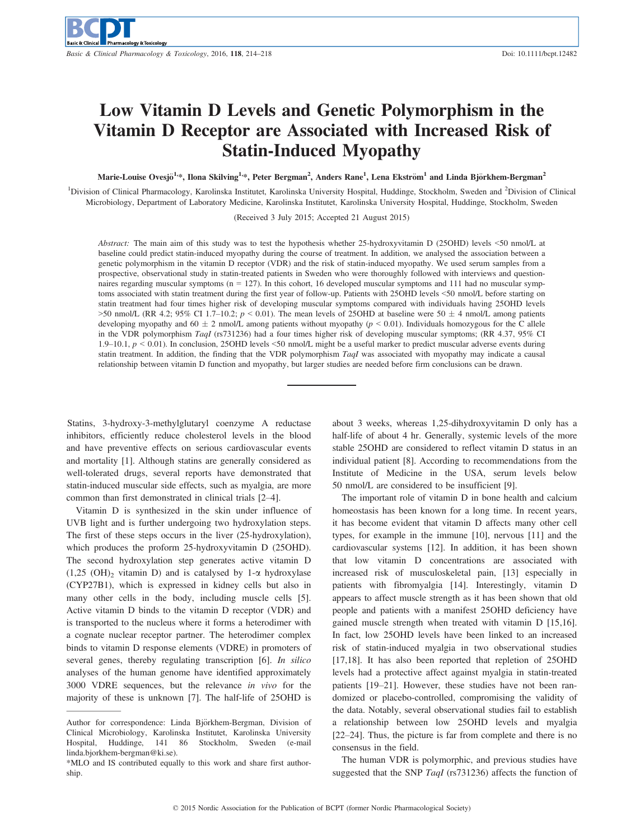# Low Vitamin D Levels and Genetic Polymorphism in the Vitamin D Receptor are Associated with Increased Risk of Statin-Induced Myopathy

Marie-Louise Ovesjö<sup>1,</sup>\*, Ilona Skilving<sup>1,</sup>\*, Peter Bergman<sup>2</sup>, Anders Rane<sup>1</sup>, Lena Ekström<sup>1</sup> and Linda Björkhem-Bergman<sup>2</sup>

<sup>1</sup>Division of Clinical Pharmacology, Karolinska Institutet, Karolinska University Hospital, Huddinge, Stockholm, Sweden and <sup>2</sup>Division of Clinical Microbiology, Department of Laboratory Medicine, Karolinska Institutet, Karolinska University Hospital, Huddinge, Stockholm, Sweden

(Received 3 July 2015; Accepted 21 August 2015)

Abstract: The main aim of this study was to test the hypothesis whether 25-hydroxyvitamin D (25OHD) levels <50 nmol/L at baseline could predict statin-induced myopathy during the course of treatment. In addition, we analysed the association between a genetic polymorphism in the vitamin D receptor (VDR) and the risk of statin-induced myopathy. We used serum samples from a prospective, observational study in statin-treated patients in Sweden who were thoroughly followed with interviews and questionnaires regarding muscular symptoms ( $n = 127$ ). In this cohort, 16 developed muscular symptoms and 111 had no muscular symptoms associated with statin treatment during the first year of follow-up. Patients with 25OHD levels <50 nmol/L before starting on statin treatment had four times higher risk of developing muscular symptoms compared with individuals having 25OHD levels  $>50$  nmol/L (RR 4.2; 95% CI 1.7–10.2;  $p < 0.01$ ). The mean levels of 25OHD at baseline were  $50 \pm 4$  nmol/L among patients developing myopathy and  $60 \pm 2$  nmol/L among patients without myopathy ( $p < 0.01$ ). Individuals homozygous for the C allele in the VDR polymorphism TaqI (rs731236) had a four times higher risk of developing muscular symptoms; (RR 4.37, 95% CI 1.9–10.1,  $p < 0.01$ ). In conclusion, 25OHD levels <50 nmol/L might be a useful marker to predict muscular adverse events during statin treatment. In addition, the finding that the VDR polymorphism TaqI was associated with myopathy may indicate a causal relationship between vitamin D function and myopathy, but larger studies are needed before firm conclusions can be drawn.

Statins, 3-hydroxy-3-methylglutaryl coenzyme A reductase inhibitors, efficiently reduce cholesterol levels in the blood and have preventive effects on serious cardiovascular events and mortality [1]. Although statins are generally considered as well-tolerated drugs, several reports have demonstrated that statin-induced muscular side effects, such as myalgia, are more common than first demonstrated in clinical trials [2–4].

Vitamin D is synthesized in the skin under influence of UVB light and is further undergoing two hydroxylation steps. The first of these steps occurs in the liver (25-hydroxylation), which produces the proform 25-hydroxyvitamin D (25OHD). The second hydroxylation step generates active vitamin D  $(1,25 \text{ (OH)}_2 \text{ vitamin D})$  and is catalysed by 1- $\alpha$  hydroxylase (CYP27B1), which is expressed in kidney cells but also in many other cells in the body, including muscle cells [5]. Active vitamin D binds to the vitamin D receptor (VDR) and is transported to the nucleus where it forms a heterodimer with a cognate nuclear receptor partner. The heterodimer complex binds to vitamin D response elements (VDRE) in promoters of several genes, thereby regulating transcription [6]. In silico analyses of the human genome have identified approximately 3000 VDRE sequences, but the relevance in vivo for the majority of these is unknown [7]. The half-life of 25OHD is

about 3 weeks, whereas 1,25-dihydroxyvitamin D only has a half-life of about 4 hr. Generally, systemic levels of the more stable 25OHD are considered to reflect vitamin D status in an individual patient [8]. According to recommendations from the Institute of Medicine in the USA, serum levels below 50 nmol/L are considered to be insufficient [9].

The important role of vitamin D in bone health and calcium homeostasis has been known for a long time. In recent years, it has become evident that vitamin D affects many other cell types, for example in the immune [10], nervous [11] and the cardiovascular systems [12]. In addition, it has been shown that low vitamin D concentrations are associated with increased risk of musculoskeletal pain, [13] especially in patients with fibromyalgia [14]. Interestingly, vitamin D appears to affect muscle strength as it has been shown that old people and patients with a manifest 25OHD deficiency have gained muscle strength when treated with vitamin D [15,16]. In fact, low 25OHD levels have been linked to an increased risk of statin-induced myalgia in two observational studies [17,18]. It has also been reported that repletion of 25OHD levels had a protective affect against myalgia in statin-treated patients [19–21]. However, these studies have not been randomized or placebo-controlled, compromising the validity of the data. Notably, several observational studies fail to establish a relationship between low 25OHD levels and myalgia [22–24]. Thus, the picture is far from complete and there is no consensus in the field.

The human VDR is polymorphic, and previous studies have suggested that the SNP TaqI (rs731236) affects the function of

Author for correspondence: Linda Björkhem-Bergman, Division of Clinical Microbiology, Karolinska Institutet, Karolinska University Hospital, Huddinge, 141 86 Stockholm, Sweden (e-mail linda.bjorkhem-bergman@ki.se).

<sup>\*</sup>MLO and IS contributed equally to this work and share first authorship.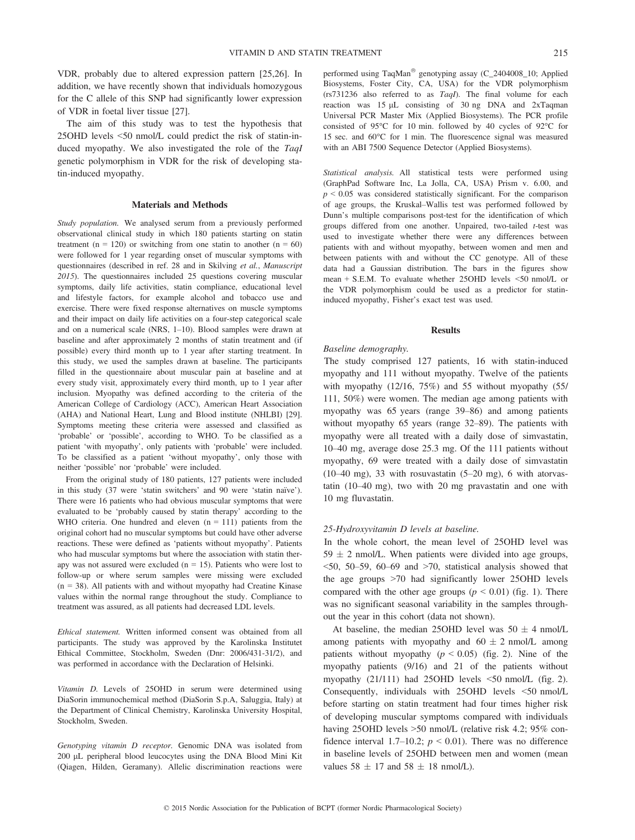VDR, probably due to altered expression pattern [25,26]. In addition, we have recently shown that individuals homozygous for the C allele of this SNP had significantly lower expression of VDR in foetal liver tissue [27].

The aim of this study was to test the hypothesis that 25OHD levels <50 nmol/L could predict the risk of statin-induced myopathy. We also investigated the role of the TaqI genetic polymorphism in VDR for the risk of developing statin-induced myopathy.

## Materials and Methods

Study population. We analysed serum from a previously performed observational clinical study in which 180 patients starting on statin treatment ( $n = 120$ ) or switching from one statin to another ( $n = 60$ ) were followed for 1 year regarding onset of muscular symptoms with questionnaires (described in ref. 28 and in Skilving et al., Manuscript 2015). The questionnaires included 25 questions covering muscular symptoms, daily life activities, statin compliance, educational level and lifestyle factors, for example alcohol and tobacco use and exercise. There were fixed response alternatives on muscle symptoms and their impact on daily life activities on a four-step categorical scale and on a numerical scale (NRS, 1–10). Blood samples were drawn at baseline and after approximately 2 months of statin treatment and (if possible) every third month up to 1 year after starting treatment. In this study, we used the samples drawn at baseline. The participants filled in the questionnaire about muscular pain at baseline and at every study visit, approximately every third month, up to 1 year after inclusion. Myopathy was defined according to the criteria of the American College of Cardiology (ACC), American Heart Association (AHA) and National Heart, Lung and Blood institute (NHLBI) [29]. Symptoms meeting these criteria were assessed and classified as 'probable' or 'possible', according to WHO. To be classified as a patient 'with myopathy', only patients with 'probable' were included. To be classified as a patient 'without myopathy', only those with neither 'possible' nor 'probable' were included.

From the original study of 180 patients, 127 patients were included in this study (37 were 'statin switchers' and 90 were 'statin naïve'). There were 16 patients who had obvious muscular symptoms that were evaluated to be 'probably caused by statin therapy' according to the WHO criteria. One hundred and eleven  $(n = 111)$  patients from the original cohort had no muscular symptoms but could have other adverse reactions. These were defined as 'patients without myopathy'. Patients who had muscular symptoms but where the association with statin therapy was not assured were excluded ( $n = 15$ ). Patients who were lost to follow-up or where serum samples were missing were excluded  $(n = 38)$ . All patients with and without myopathy had Creatine Kinase values within the normal range throughout the study. Compliance to treatment was assured, as all patients had decreased LDL levels.

Ethical statement. Written informed consent was obtained from all participants. The study was approved by the Karolinska Institutet Ethical Committee, Stockholm, Sweden (Dnr: 2006/431-31/2), and was performed in accordance with the Declaration of Helsinki.

Vitamin D. Levels of 25OHD in serum were determined using DiaSorin immunochemical method (DiaSorin S.p.A, Saluggia, Italy) at the Department of Clinical Chemistry, Karolinska University Hospital, Stockholm, Sweden.

Genotyping vitamin D receptor. Genomic DNA was isolated from 200 lL peripheral blood leucocytes using the DNA Blood Mini Kit (Qiagen, Hilden, Geramany). Allelic discrimination reactions were

performed using TaqMan<sup>®</sup> genotyping assay (C\_2404008\_10; Applied Biosystems, Foster City, CA, USA) for the VDR polymorphism (rs731236 also referred to as TaqI). The final volume for each reaction was 15 µL consisting of 30 ng DNA and 2xTaqman Universal PCR Master Mix (Applied Biosystems). The PCR profile consisted of 95°C for 10 min. followed by 40 cycles of 92°C for 15 sec. and 60°C for 1 min. The fluorescence signal was measured with an ABI 7500 Sequence Detector (Applied Biosystems).

Statistical analysis. All statistical tests were performed using (GraphPad Software Inc, La Jolla, CA, USA) Prism v. 6.00, and  $p \leq 0.05$  was considered statistically significant. For the comparison of age groups, the Kruskal–Wallis test was performed followed by Dunn's multiple comparisons post-test for the identification of which groups differed from one another. Unpaired, two-tailed t-test was used to investigate whether there were any differences between patients with and without myopathy, between women and men and between patients with and without the CC genotype. All of these data had a Gaussian distribution. The bars in the figures show mean + S.E.M. To evaluate whether 25OHD levels <50 nmol/L or the VDR polymorphism could be used as a predictor for statininduced myopathy, Fisher's exact test was used.

#### Results

#### Baseline demography.

The study comprised 127 patients, 16 with statin-induced myopathy and 111 without myopathy. Twelve of the patients with myopathy  $(12/16, 75%)$  and 55 without myopathy  $(55/$ 111, 50%) were women. The median age among patients with myopathy was 65 years (range 39–86) and among patients without myopathy 65 years (range 32–89). The patients with myopathy were all treated with a daily dose of simvastatin, 10–40 mg, average dose 25.3 mg. Of the 111 patients without myopathy, 69 were treated with a daily dose of simvastatin  $(10-40 \text{ mg})$ , 33 with rosuvastatin  $(5-20 \text{ mg})$ , 6 with atorvastatin (10–40 mg), two with 20 mg pravastatin and one with 10 mg fluvastatin.

# 25-Hydroxyvitamin D levels at baseline.

In the whole cohort, the mean level of 25OHD level was  $59 \pm 2$  nmol/L. When patients were divided into age groups, <50, 50–59, 60–69 and >70, statistical analysis showed that the age groups >70 had significantly lower 25OHD levels compared with the other age groups ( $p < 0.01$ ) (fig. 1). There was no significant seasonal variability in the samples throughout the year in this cohort (data not shown).

At baseline, the median 25OHD level was  $50 \pm 4$  nmol/L among patients with myopathy and  $60 \pm 2$  nmol/L among patients without myopathy  $(p < 0.05)$  (fig. 2). Nine of the myopathy patients (9/16) and 21 of the patients without myopathy (21/111) had 25OHD levels <50 nmol/L (fig. 2). Consequently, individuals with 25OHD levels <50 nmol/L before starting on statin treatment had four times higher risk of developing muscular symptoms compared with individuals having 25OHD levels >50 nmol/L (relative risk 4.2; 95% confidence interval 1.7–10.2;  $p < 0.01$ ). There was no difference in baseline levels of 25OHD between men and women (mean values  $58 \pm 17$  and  $58 \pm 18$  nmol/L).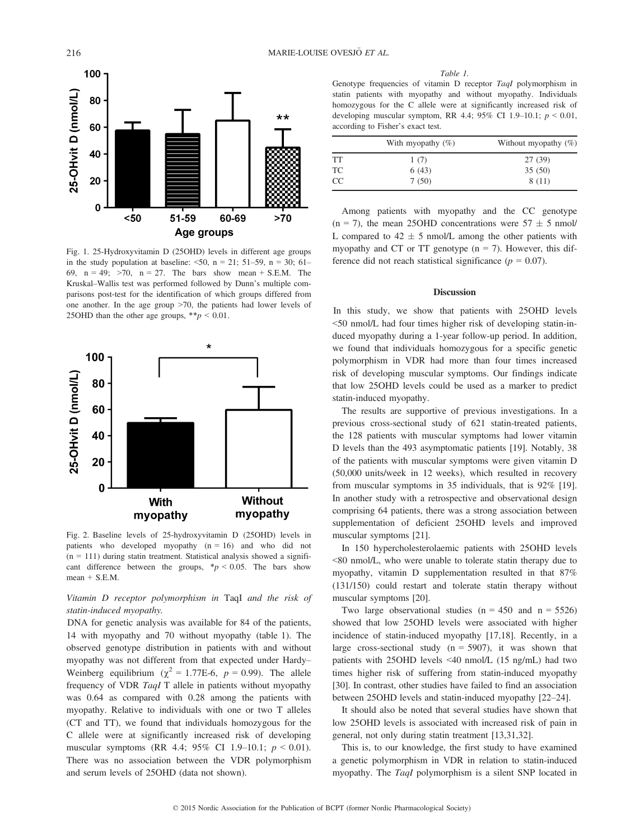

Fig. 1. 25-Hydroxyvitamin D (25OHD) levels in different age groups in the study population at baseline:  $\leq 50$ , n = 21; 51–59, n = 30; 61– 69,  $n = 49$ ;  $>70$ ,  $n = 27$ . The bars show mean + S.E.M. The Kruskal–Wallis test was performed followed by Dunn's multiple comparisons post-test for the identification of which groups differed from one another. In the age group >70, the patients had lower levels of 25OHD than the other age groups,  $* p < 0.01$ .



Fig. 2. Baseline levels of 25-hydroxyvitamin D (25OHD) levels in patients who developed myopathy  $(n = 16)$  and who did not  $(n = 111)$  during statin treatment. Statistical analysis showed a significant difference between the groups,  $\frac{*p}{ } < 0.05$ . The bars show  $mean + S.E.M.$ 

Vitamin D receptor polymorphism in TaqI and the risk of statin-induced myopathy.

DNA for genetic analysis was available for 84 of the patients, 14 with myopathy and 70 without myopathy (table 1). The observed genotype distribution in patients with and without myopathy was not different from that expected under Hardy– Weinberg equilibrium ( $\chi^2 = 1.77E-6$ ,  $p = 0.99$ ). The allele frequency of VDR TaqI T allele in patients without myopathy was 0.64 as compared with 0.28 among the patients with myopathy. Relative to individuals with one or two T alleles (CT and TT), we found that individuals homozygous for the C allele were at significantly increased risk of developing muscular symptoms (RR 4.4;  $95\%$  CI 1.9–10.1;  $p < 0.01$ ). There was no association between the VDR polymorphism and serum levels of 25OHD (data not shown).

Table 1.

Genotype frequencies of vitamin D receptor TaqI polymorphism in statin patients with myopathy and without myopathy. Individuals homozygous for the C allele were at significantly increased risk of developing muscular symptom, RR 4.4; 95% CI 1.9-10.1;  $p < 0.01$ , according to Fisher's exact test.

|    | With myopathy $(\%)$ | Without myopathy $(\%)$ |
|----|----------------------|-------------------------|
| TT | 1(7)                 | 27 (39)                 |
| ТC | 6(43)                | 35(50)                  |
| CC | 7(50)                | 8(11)                   |

Among patients with myopathy and the CC genotype  $(n = 7)$ , the mean 25OHD concentrations were  $57 \pm 5$  nmol/ L compared to  $42 \pm 5$  nmol/L among the other patients with myopathy and CT or TT genotype  $(n = 7)$ . However, this difference did not reach statistical significance ( $p = 0.07$ ).

# Discussion

In this study, we show that patients with 25OHD levels <50 nmol/L had four times higher risk of developing statin-induced myopathy during a 1-year follow-up period. In addition, we found that individuals homozygous for a specific genetic polymorphism in VDR had more than four times increased risk of developing muscular symptoms. Our findings indicate that low 25OHD levels could be used as a marker to predict statin-induced myopathy.

The results are supportive of previous investigations. In a previous cross-sectional study of 621 statin-treated patients, the 128 patients with muscular symptoms had lower vitamin D levels than the 493 asymptomatic patients [19]. Notably, 38 of the patients with muscular symptoms were given vitamin D (50,000 units/week in 12 weeks), which resulted in recovery from muscular symptoms in 35 individuals, that is 92% [19]. In another study with a retrospective and observational design comprising 64 patients, there was a strong association between supplementation of deficient 25OHD levels and improved muscular symptoms [21].

In 150 hypercholesterolaemic patients with 25OHD levels <80 nmol/L, who were unable to tolerate statin therapy due to myopathy, vitamin D supplementation resulted in that 87% (131/150) could restart and tolerate statin therapy without muscular symptoms [20].

Two large observational studies ( $n = 450$  and  $n = 5526$ ) showed that low 25OHD levels were associated with higher incidence of statin-induced myopathy [17,18]. Recently, in a large cross-sectional study  $(n = 5907)$ , it was shown that patients with 25OHD levels <40 nmol/L (15 ng/mL) had two times higher risk of suffering from statin-induced myopathy [30]. In contrast, other studies have failed to find an association between 25OHD levels and statin-induced myopathy [22–24].

It should also be noted that several studies have shown that low 25OHD levels is associated with increased risk of pain in general, not only during statin treatment [13,31,32].

This is, to our knowledge, the first study to have examined a genetic polymorphism in VDR in relation to statin-induced myopathy. The TaqI polymorphism is a silent SNP located in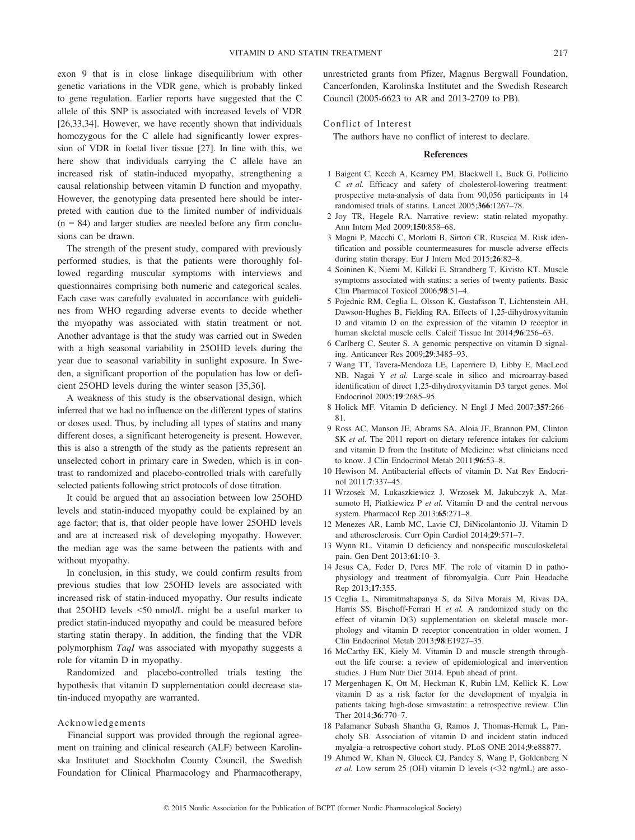exon 9 that is in close linkage disequilibrium with other genetic variations in the VDR gene, which is probably linked to gene regulation. Earlier reports have suggested that the C allele of this SNP is associated with increased levels of VDR [26,33,34]. However, we have recently shown that individuals homozygous for the C allele had significantly lower expression of VDR in foetal liver tissue [27]. In line with this, we here show that individuals carrying the C allele have an increased risk of statin-induced myopathy, strengthening a causal relationship between vitamin D function and myopathy. However, the genotyping data presented here should be interpreted with caution due to the limited number of individuals  $(n = 84)$  and larger studies are needed before any firm conclusions can be drawn.

The strength of the present study, compared with previously performed studies, is that the patients were thoroughly followed regarding muscular symptoms with interviews and questionnaires comprising both numeric and categorical scales. Each case was carefully evaluated in accordance with guidelines from WHO regarding adverse events to decide whether the myopathy was associated with statin treatment or not. Another advantage is that the study was carried out in Sweden with a high seasonal variability in 25OHD levels during the year due to seasonal variability in sunlight exposure. In Sweden, a significant proportion of the population has low or deficient 25OHD levels during the winter season [35,36].

A weakness of this study is the observational design, which inferred that we had no influence on the different types of statins or doses used. Thus, by including all types of statins and many different doses, a significant heterogeneity is present. However, this is also a strength of the study as the patients represent an unselected cohort in primary care in Sweden, which is in contrast to randomized and placebo-controlled trials with carefully selected patients following strict protocols of dose titration.

It could be argued that an association between low 25OHD levels and statin-induced myopathy could be explained by an age factor; that is, that older people have lower 25OHD levels and are at increased risk of developing myopathy. However, the median age was the same between the patients with and without myopathy.

In conclusion, in this study, we could confirm results from previous studies that low 25OHD levels are associated with increased risk of statin-induced myopathy. Our results indicate that 25OHD levels <50 nmol/L might be a useful marker to predict statin-induced myopathy and could be measured before starting statin therapy. In addition, the finding that the VDR polymorphism TaqI was associated with myopathy suggests a role for vitamin D in myopathy.

Randomized and placebo-controlled trials testing the hypothesis that vitamin D supplementation could decrease statin-induced myopathy are warranted.

#### Acknowledgements

Financial support was provided through the regional agreement on training and clinical research (ALF) between Karolinska Institutet and Stockholm County Council, the Swedish Foundation for Clinical Pharmacology and Pharmacotherapy,

unrestricted grants from Pfizer, Magnus Bergwall Foundation, Cancerfonden, Karolinska Institutet and the Swedish Research Council (2005-6623 to AR and 2013-2709 to PB).

## Conflict of Interest

The authors have no conflict of interest to declare.

#### References

- 1 Baigent C, Keech A, Kearney PM, Blackwell L, Buck G, Pollicino C et al. Efficacy and safety of cholesterol-lowering treatment: prospective meta-analysis of data from 90,056 participants in 14 randomised trials of statins. Lancet 2005;366:1267–78.
- 2 Joy TR, Hegele RA. Narrative review: statin-related myopathy. Ann Intern Med 2009;150:858–68.
- 3 Magni P, Macchi C, Morlotti B, Sirtori CR, Ruscica M. Risk identification and possible countermeasures for muscle adverse effects during statin therapy. Eur J Intern Med 2015;26:82–8.
- 4 Soininen K, Niemi M, Kilkki E, Strandberg T, Kivisto KT. Muscle symptoms associated with statins: a series of twenty patients. Basic Clin Pharmacol Toxicol 2006;98:51–4.
- 5 Pojednic RM, Ceglia L, Olsson K, Gustafsson T, Lichtenstein AH, Dawson-Hughes B, Fielding RA. Effects of 1,25-dihydroxyvitamin D and vitamin D on the expression of the vitamin D receptor in human skeletal muscle cells. Calcif Tissue Int 2014;96:256–63.
- 6 Carlberg C, Seuter S. A genomic perspective on vitamin D signaling. Anticancer Res 2009;29:3485–93.
- 7 Wang TT, Tavera-Mendoza LE, Laperriere D, Libby E, MacLeod NB, Nagai Y et al. Large-scale in silico and microarray-based identification of direct 1,25-dihydroxyvitamin D3 target genes. Mol Endocrinol 2005;19:2685–95.
- 8 Holick MF. Vitamin D deficiency. N Engl J Med 2007;357:266– 81.
- 9 Ross AC, Manson JE, Abrams SA, Aloia JF, Brannon PM, Clinton SK et al. The 2011 report on dietary reference intakes for calcium and vitamin D from the Institute of Medicine: what clinicians need to know. J Clin Endocrinol Metab 2011;96:53–8.
- 10 Hewison M. Antibacterial effects of vitamin D. Nat Rev Endocrinol 2011;7:337–45.
- 11 Wrzosek M, Lukaszkiewicz J, Wrzosek M, Jakubczyk A, Matsumoto H, Piatkiewicz P et al. Vitamin D and the central nervous system. Pharmacol Rep 2013;65:271–8.
- 12 Menezes AR, Lamb MC, Lavie CJ, DiNicolantonio JJ. Vitamin D and atherosclerosis. Curr Opin Cardiol 2014;29:571–7.
- 13 Wynn RL. Vitamin D deficiency and nonspecific musculoskeletal pain. Gen Dent 2013;61:10–3.
- 14 Jesus CA, Feder D, Peres MF. The role of vitamin D in pathophysiology and treatment of fibromyalgia. Curr Pain Headache Rep 2013;17:355.
- 15 Ceglia L, Niramitmahapanya S, da Silva Morais M, Rivas DA, Harris SS, Bischoff-Ferrari H et al. A randomized study on the effect of vitamin D(3) supplementation on skeletal muscle morphology and vitamin D receptor concentration in older women. J Clin Endocrinol Metab 2013;98:E1927–35.
- 16 McCarthy EK, Kiely M. Vitamin D and muscle strength throughout the life course: a review of epidemiological and intervention studies. J Hum Nutr Diet 2014. Epub ahead of print.
- 17 Mergenhagen K, Ott M, Heckman K, Rubin LM, Kellick K. Low vitamin D as a risk factor for the development of myalgia in patients taking high-dose simvastatin: a retrospective review. Clin Ther 2014;36:770–7.
- 18 Palamaner Subash Shantha G, Ramos J, Thomas-Hemak L, Pancholy SB. Association of vitamin D and incident statin induced myalgia–a retrospective cohort study. PLoS ONE 2014;9:e88877.
- 19 Ahmed W, Khan N, Glueck CJ, Pandey S, Wang P, Goldenberg N et al. Low serum 25 (OH) vitamin D levels (<32 ng/mL) are asso-